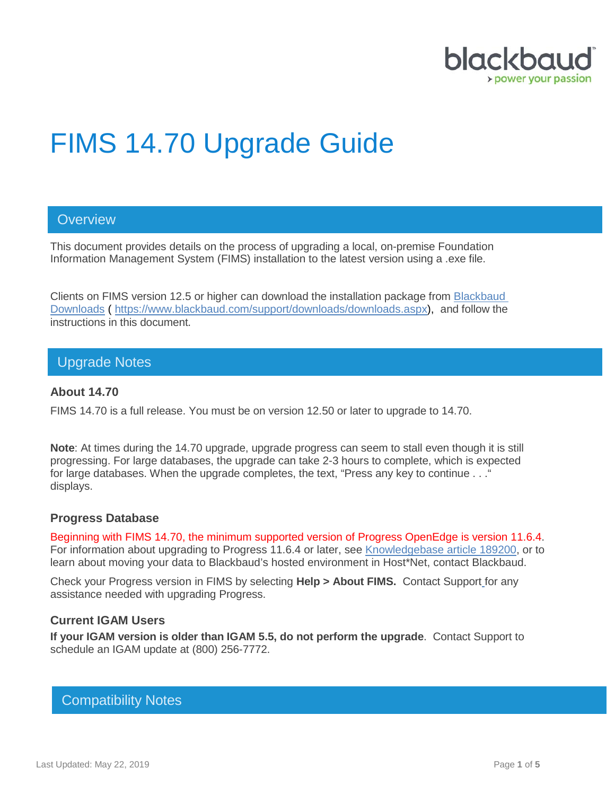

# FIMS 14.70 Upgrade Guide

## **Overview**

This document provides details on the process of upgrading a local, on-premise Foundation Information Management System (FIMS) installation to the latest version using a .exe file.

Clients on FIMS version 12.5 or higher can download the installation package from [Blackbaud](https://www.blackbaud.com/support/downloads/downloads.aspx)  [Downloads](https://www.blackbaud.com/support/downloads/downloads.aspx) ( [https://www.blackbaud.com/support/downloads/downloads.aspx\)](https://www.blackbaud.com/support/downloads/downloads.aspx), and follow the instructions in this document.

## Upgrade Notes

#### **About 14.70**

FIMS 14.70 is a full release. You must be on version 12.50 or later to upgrade to 14.70.

**Note**: At times during the 14.70 upgrade, upgrade progress can seem to stall even though it is still progressing. For large databases, the upgrade can take 2-3 hours to complete, which is expected for large databases. When the upgrade completes, the text, "Press any key to continue . . ." displays.

#### **Progress Database**

Beginning with FIMS 14.70, the minimum supported version of Progress OpenEdge is version 11.6.4. For information about upgrading to Progress 11.6.4 or later, see [Knowledgebase article 189200,](https://kb.blackbaud.com/articles/Article/189200) or to learn about moving your data to Blackbaud's hosted environment in Host\*Net, contact Blackbaud.

Check your Progress version in FIMS by selecting **Help > About FIMS.** Contact Support for any assistance needed with upgrading Progress.

#### **Current IGAM Users**

**If your IGAM version is older than IGAM 5.5, do not perform the upgrade**. Contact Support to schedule an IGAM update at (800) 256-7772.

## Compatibility Notes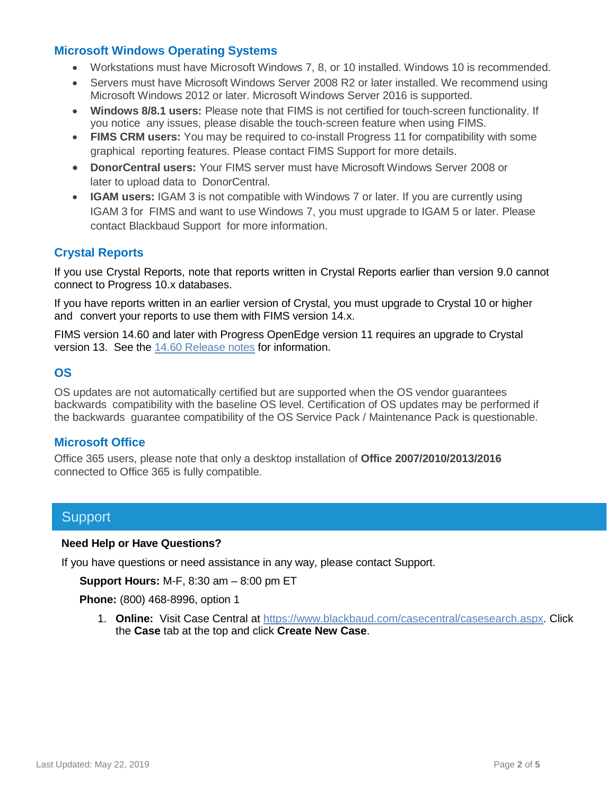#### **Microsoft Windows Operating Systems**

- Workstations must have Microsoft Windows 7, 8, or 10 installed. Windows 10 is recommended.
- Servers must have Microsoft Windows Server 2008 R2 or later installed. We recommend using Microsoft Windows 2012 or later. Microsoft Windows Server 2016 is supported.
- **Windows 8/8.1 users:** Please note that FIMS is not certified for touch-screen functionality. If you notice any issues, please disable the touch-screen feature when using FIMS.
- **FIMS CRM users:** You may be required to co-install Progress 11 for compatibility with some graphical reporting features. Please contact FIMS Support for more details.
- **DonorCentral users:** Your FIMS server must have Microsoft Windows Server 2008 or later to upload data to DonorCentral.
- **IGAM users:** IGAM 3 is not compatible with Windows 7 or later. If you are currently using IGAM 3 for FIMS and want to use Windows 7, you must upgrade to IGAM 5 or later. Please contact Blackbaud Support for more information.

## **Crystal Reports**

If you use Crystal Reports, note that reports written in Crystal Reports earlier than version 9.0 cannot connect to Progress 10.x databases.

If you have reports written in an earlier version of Crystal, you must upgrade to Crystal 10 or higher and convert your reports to use them with FIMS version 14.x.

FIMS version 14.60 and later with Progress OpenEdge version 11 requires an upgrade to Crystal version 13. See the 14.60 [Release notes](https://www.blackbaud.com/files/support/guides/microedge/fims/fims1460update_releasenotes.pdf) for information.

### **OS**

OS updates are not automatically certified but are supported when the OS vendor guarantees backwards compatibility with the baseline OS level. Certification of OS updates may be performed if the backwards guarantee compatibility of the OS Service Pack / Maintenance Pack is questionable.

### **Microsoft Office**

Office 365 users, please note that only a desktop installation of **Office 2007/2010/2013/2016** connected to Office 365 is fully compatible.

## **Support**

#### **Need Help or Have Questions?**

If you have questions or need assistance in any way, please contact Support.

**Support Hours:** M-F, 8:30 am – 8:00 pm ET

**Phone:** (800) 468-8996, option 1

1. **Online:** Visit Case Central at [https://www.blackbaud.com/casecentral/casesearch.aspx.](https://www.blackbaud.com/casecentral/casesearch.aspx) Click the **Case** tab at the top and click **Create New Case**.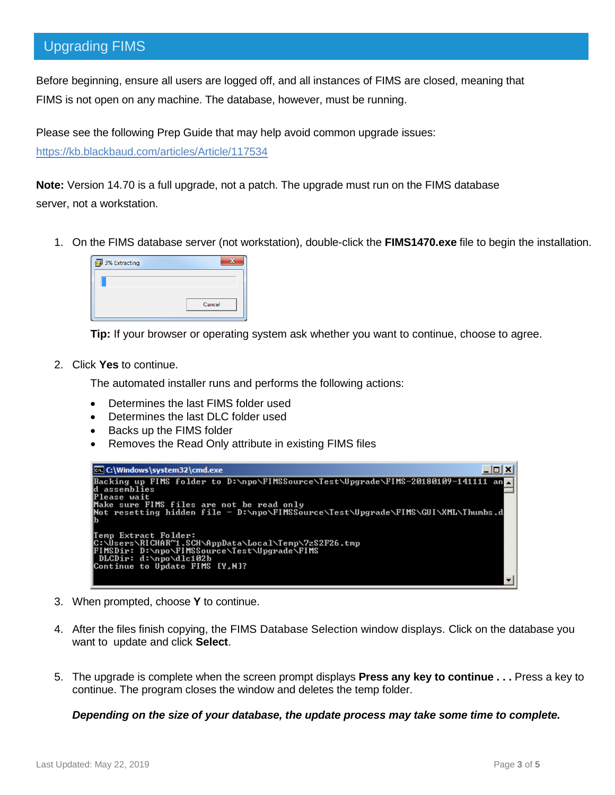## Upgrading FIMS

Before beginning, ensure all users are logged off, and all instances of FIMS are closed, meaning that FIMS is not open on any machine. The database, however, must be running.

Please see the following Prep Guide that may help avoid common upgrade issues:

<https://kb.blackbaud.com/articles/Article/117534>

**Note:** Version 14.70 is a full upgrade, not a patch. The upgrade must run on the FIMS database server, not a workstation.

1. On the FIMS database server (not workstation), double-click the **FIMS1470.exe** file to begin the installation.

| 3% Extracting |        |
|---------------|--------|
|               |        |
|               |        |
|               | Cancel |
|               |        |

**Tip:** If your browser or operating system ask whether you want to continue, choose to agree.

2. Click **Yes** to continue.

The automated installer runs and performs the following actions:

- Determines the last FIMS folder used
- Determines the last DLC folder used
- Backs up the FIMS folder
- Removes the Read Only attribute in existing FIMS files

| <b>C:\Windows\system32\cmd.exe</b>                                                                                             |  |
|--------------------------------------------------------------------------------------------------------------------------------|--|
| Backing up FIMS folder to D:\npo\FIMSSource\Test\Upgrade\FIMS-20180109-141111 an <mark>_</mark><br>ld assemblies               |  |
| lPlease wait                                                                                                                   |  |
| Make sure FIMS files are not be read only<br> Not resetting hidden file - D:\npo\FIMSSource\Test\Upgrade\FIMS\GUI\XML\Thumbs.d |  |
|                                                                                                                                |  |
| Temp Extract Folder:<br> C:\Users\RICHAR~1.SCH\AppData\Local\Temp\7zS2F26.tmp                                                  |  |
| FIMSDir: D:\npo\FIMSSource\Test\Upgrade\FIMS                                                                                   |  |
| DLCDir: d:\npo\dlc102b<br>Continue to Update FIMS [Y,N]?                                                                       |  |
|                                                                                                                                |  |

- 3. When prompted, choose **Y** to continue.
- 4. After the files finish copying, the FIMS Database Selection window displays. Click on the database you want to update and click **Select**.
- 5. The upgrade is complete when the screen prompt displays **Press any key to continue . . .** Press a key to continue. The program closes the window and deletes the temp folder.

*Depending on the size of your database, the update process may take some time to complete.*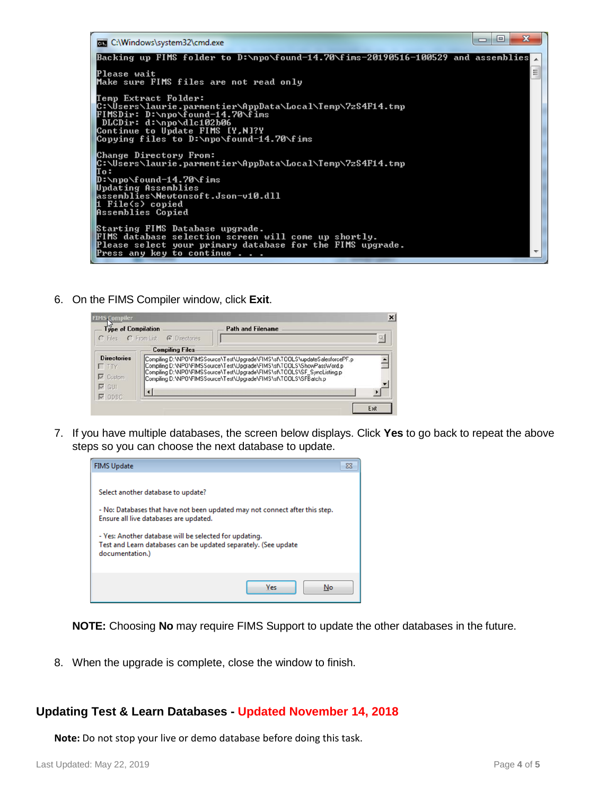

6. On the FIMS Compiler window, click **Exit**.

| <b>FIMS Compiler</b>                                                  |                                                                                                                                                                                                                                                                                                     |                          | $\vert x \vert$ |
|-----------------------------------------------------------------------|-----------------------------------------------------------------------------------------------------------------------------------------------------------------------------------------------------------------------------------------------------------------------------------------------------|--------------------------|-----------------|
| Type of Compilation                                                   | C Files C From List C Directories                                                                                                                                                                                                                                                                   | <b>Path and Filename</b> |                 |
|                                                                       | <b>Compiling Files</b>                                                                                                                                                                                                                                                                              |                          |                 |
| <b>Directories</b><br>$\Gamma$ TTY<br>$\nabla$ Custom<br>$\nabla$ GUI | Compiling D:\NPO\FIMSSource\Test\Upgrade\FIMS\sf\TOOLS\updateSalesforcePF.p<br>Compiling D:\NPO\FIMSSource\Test\Upgrade\FIMS\sf\TOOLS\ShowPassWord.p<br>Compiling D:\NPO\FIMSSource\Test\Upgrade\FIMS\sf\TOOLS\SF_SyncListing.p<br>Compiling D:\NPO\FIMSSource\Test\Upgrade\FIMS\sf\T00LS\SFBatch.p |                          |                 |
| $\nabla$ ODBC                                                         |                                                                                                                                                                                                                                                                                                     |                          |                 |
|                                                                       |                                                                                                                                                                                                                                                                                                     |                          | Exit            |

7. If you have multiple databases, the screen below displays. Click **Yes** to go back to repeat the above steps so you can choose the next database to update.



**NOTE:** Choosing **No** may require FIMS Support to update the other databases in the future.

8. When the upgrade is complete, close the window to finish.

## **Updating Test & Learn Databases - Updated November 14, 2018**

**Note:** Do not stop your live or demo database before doing this task.